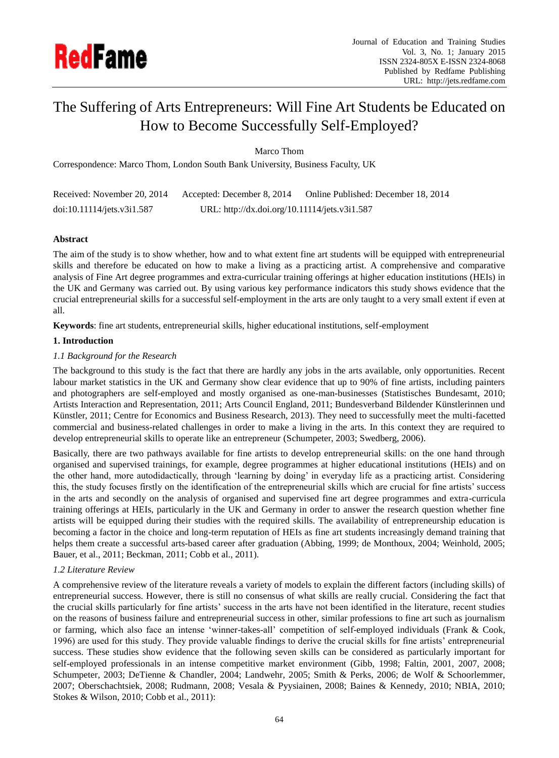

# The Suffering of Arts Entrepreneurs: Will Fine Art Students be Educated on How to Become Successfully Self-Employed?

Marco Thom

Correspondence: Marco Thom, London South Bank University, Business Faculty, UK

| Received: November 20, 2014 | Accepted: December 8, 2014                    | Online Published: December 18, 2014 |
|-----------------------------|-----------------------------------------------|-------------------------------------|
| doi:10.11114/jets.v3i1.587  | URL: http://dx.doi.org/10.11114/jets.v3i1.587 |                                     |

# **Abstract**

The aim of the study is to show whether, how and to what extent fine art students will be equipped with entrepreneurial skills and therefore be educated on how to make a living as a practicing artist. A comprehensive and comparative analysis of Fine Art degree programmes and extra-curricular training offerings at higher education institutions (HEIs) in the UK and Germany was carried out. By using various key performance indicators this study shows evidence that the crucial entrepreneurial skills for a successful self-employment in the arts are only taught to a very small extent if even at all.

**Keywords**: fine art students, entrepreneurial skills, higher educational institutions, self-employment

# **1. Introduction**

# *1.1 Background for the Research*

The background to this study is the fact that there are hardly any jobs in the arts available, only opportunities. Recent labour market statistics in the UK and Germany show clear evidence that up to 90% of fine artists, including painters and photographers are self-employed and mostly organised as one-man-businesses (Statistisches Bundesamt, 2010; Artists Interaction and Representation, 2011; Arts Council England, 2011; Bundesverband Bildender Künstlerinnen und Künstler, 2011; Centre for Economics and Business Research, 2013). They need to successfully meet the multi-facetted commercial and business-related challenges in order to make a living in the arts. In this context they are required to develop entrepreneurial skills to operate like an entrepreneur (Schumpeter, 2003; Swedberg, 2006).

Basically, there are two pathways available for fine artists to develop entrepreneurial skills: on the one hand through organised and supervised trainings, for example, degree programmes at higher educational institutions (HEIs) and on the other hand, more autodidactically, through 'learning by doing' in everyday life as a practicing artist. Considering this, the study focuses firstly on the identification of the entrepreneurial skills which are crucial for fine artists' success in the arts and secondly on the analysis of organised and supervised fine art degree programmes and extra-curricula training offerings at HEIs, particularly in the UK and Germany in order to answer the research question whether fine artists will be equipped during their studies with the required skills. The availability of entrepreneurship education is becoming a factor in the choice and long-term reputation of HEIs as fine art students increasingly demand training that helps them create a successful arts-based career after graduation (Abbing, 1999; de Monthoux, 2004; Weinhold, 2005; Bauer, et al., 2011; Beckman, 2011; Cobb et al., 2011).

## *1.2 Literature Review*

A comprehensive review of the literature reveals a variety of models to explain the different factors (including skills) of entrepreneurial success. However, there is still no consensus of what skills are really crucial. Considering the fact that the crucial skills particularly for fine artists' success in the arts have not been identified in the literature, recent studies on the reasons of business failure and entrepreneurial success in other, similar professions to fine art such as journalism or farming, which also face an intense 'winner-takes-all' competition of self-employed individuals (Frank & Cook, 1996) are used for this study. They provide valuable findings to derive the crucial skills for fine artists' entrepreneurial success. These studies show evidence that the following seven skills can be considered as particularly important for self-employed professionals in an intense competitive market environment (Gibb, 1998; Faltin, 2001, 2007, 2008; Schumpeter, 2003; DeTienne & Chandler, 2004; Landwehr, 2005; Smith & Perks, 2006; de Wolf & Schoorlemmer, 2007; Oberschachtsiek, 2008; Rudmann, 2008; Vesala & Pyysiainen, 2008; Baines & Kennedy, 2010; NBIA, 2010; Stokes & Wilson, 2010; Cobb et al., 2011):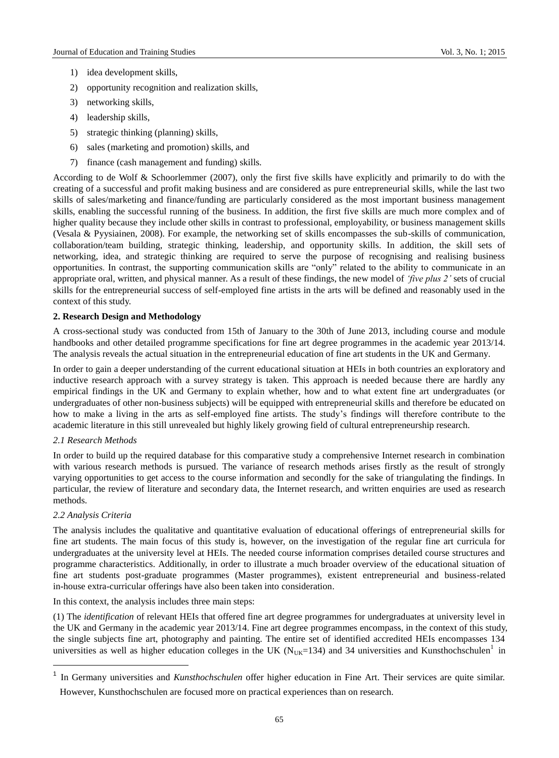- 1) idea development skills,
- 2) opportunity recognition and realization skills,
- 3) networking skills,
- 4) leadership skills,
- 5) strategic thinking (planning) skills,
- 6) sales (marketing and promotion) skills, and
- 7) finance (cash management and funding) skills.

According to de Wolf & Schoorlemmer (2007), only the first five skills have explicitly and primarily to do with the creating of a successful and profit making business and are considered as pure entrepreneurial skills, while the last two skills of sales/marketing and finance/funding are particularly considered as the most important business management skills, enabling the successful running of the business. In addition, the first five skills are much more complex and of higher quality because they include other skills in contrast to professional, employability, or business management skills (Vesala & Pyysiainen, 2008). For example, the networking set of skills encompasses the sub-skills of communication, collaboration/team building, strategic thinking, leadership, and opportunity skills. In addition, the skill sets of networking, idea, and strategic thinking are required to serve the purpose of recognising and realising business opportunities. In contrast, the supporting communication skills are "only" related to the ability to communicate in an appropriate oral, written, and physical manner. As a result of these findings, the new model of *'five plus 2'* sets of crucial skills for the entrepreneurial success of self-employed fine artists in the arts will be defined and reasonably used in the context of this study.

# **2. Research Design and Methodology**

A cross-sectional study was conducted from 15th of January to the 30th of June 2013, including course and module handbooks and other detailed programme specifications for fine art degree programmes in the academic year 2013/14. The analysis reveals the actual situation in the entrepreneurial education of fine art students in the UK and Germany.

In order to gain a deeper understanding of the current educational situation at HEIs in both countries an exploratory and inductive research approach with a survey strategy is taken. This approach is needed because there are hardly any empirical findings in the UK and Germany to explain whether, how and to what extent fine art undergraduates (or undergraduates of other non-business subjects) will be equipped with entrepreneurial skills and therefore be educated on how to make a living in the arts as self-employed fine artists. The study's findings will therefore contribute to the academic literature in this still unrevealed but highly likely growing field of cultural entrepreneurship research.

## *2.1 Research Methods*

In order to build up the required database for this comparative study a comprehensive Internet research in combination with various research methods is pursued. The variance of research methods arises firstly as the result of strongly varying opportunities to get access to the course information and secondly for the sake of triangulating the findings. In particular, the review of literature and secondary data, the Internet research, and written enquiries are used as research methods.

## *2.2 Analysis Criteria*

1

The analysis includes the qualitative and quantitative evaluation of educational offerings of entrepreneurial skills for fine art students. The main focus of this study is, however, on the investigation of the regular fine art curricula for undergraduates at the university level at HEIs. The needed course information comprises detailed course structures and programme characteristics. Additionally, in order to illustrate a much broader overview of the educational situation of fine art students post-graduate programmes (Master programmes), existent entrepreneurial and business-related in-house extra-curricular offerings have also been taken into consideration.

In this context, the analysis includes three main steps:

(1) The *identification* of relevant HEIs that offered fine art degree programmes for undergraduates at university level in the UK and Germany in the academic year 2013/14. Fine art degree programmes encompass, in the context of this study, the single subjects fine art, photography and painting. The entire set of identified accredited HEIs encompasses 134 universities as well as higher education colleges in the UK ( $N_{UK}=134$ ) and 34 universities and Kunsthochschulen<sup>1</sup> in

<sup>&</sup>lt;sup>1</sup> In Germany universities and *Kunsthochschulen* offer higher education in Fine Art. Their services are quite similar. However, Kunsthochschulen are focused more on practical experiences than on research.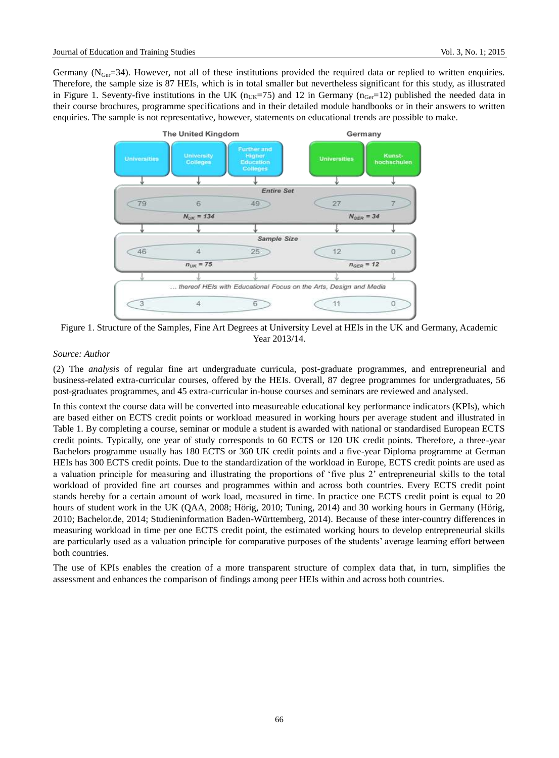Germany ( $N_{Ger}=34$ ). However, not all of these institutions provided the required data or replied to written enquiries. Therefore, the sample size is 87 HEIs, which is in total smaller but nevertheless significant for this study, as illustrated in Figure 1. Seventy-five institutions in the UK ( $n_{\text{UKE}}$ =75) and 12 in Germany ( $n_{\text{Ger}}$ =12) published the needed data in their course brochures, programme specifications and in their detailed module handbooks or in their answers to written enquiries. The sample is not representative, however, statements on educational trends are possible to make.



Figure 1. Structure of the Samples, Fine Art Degrees at University Level at HEIs in the UK and Germany, Academic Year 2013/14.

# *Source: Author*

(2) The *analysis* of regular fine art undergraduate curricula, post-graduate programmes, and entrepreneurial and business-related extra-curricular courses, offered by the HEIs. Overall, 87 degree programmes for undergraduates, 56 post-graduates programmes, and 45 extra-curricular in-house courses and seminars are reviewed and analysed.

In this context the course data will be converted into measureable educational key performance indicators (KPIs), which are based either on ECTS credit points or workload measured in working hours per average student and illustrated in Table 1. By completing a course, seminar or module a student is awarded with national or standardised European ECTS credit points. Typically, one year of study corresponds to 60 ECTS or 120 UK credit points. Therefore, a three-year Bachelors programme usually has 180 ECTS or 360 UK credit points and a five-year Diploma programme at German HEIs has 300 ECTS credit points. Due to the standardization of the workload in Europe, ECTS credit points are used as a valuation principle for measuring and illustrating the proportions of 'five plus 2' entrepreneurial skills to the total workload of provided fine art courses and programmes within and across both countries. Every ECTS credit point stands hereby for a certain amount of work load, measured in time. In practice one ECTS credit point is equal to 20 hours of student work in the UK (QAA, 2008; Hörig, 2010; Tuning, 2014) and 30 working hours in Germany (Hörig, 2010; Bachelor.de, 2014; Studieninformation Baden-Württemberg, 2014). Because of these inter-country differences in measuring workload in time per one ECTS credit point, the estimated working hours to develop entrepreneurial skills are particularly used as a valuation principle for comparative purposes of the students' average learning effort between both countries.

The use of KPIs enables the creation of a more transparent structure of complex data that, in turn, simplifies the assessment and enhances the comparison of findings among peer HEIs within and across both countries.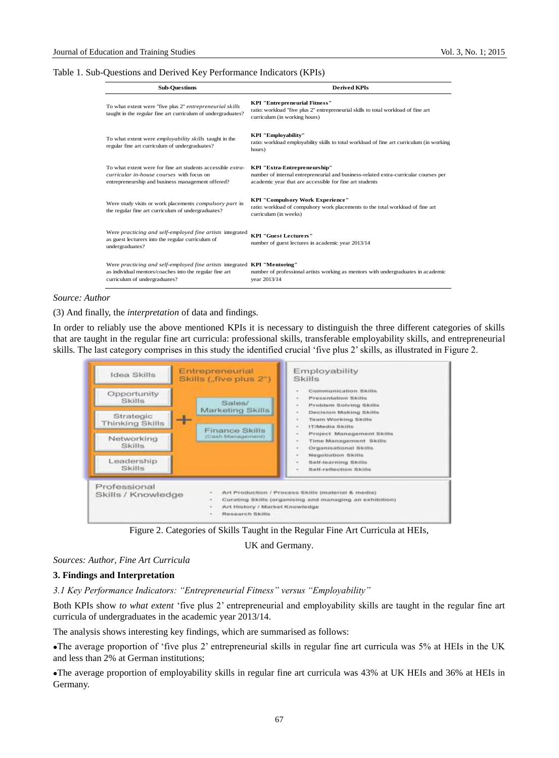## Table 1. Sub-Questions and Derived Key Performance Indicators (KPIs)

| <b>Sub-Ouestions</b>                                                                                                                                                         | <b>Derived KPIs</b>                                                                                                                                                             |  |
|------------------------------------------------------------------------------------------------------------------------------------------------------------------------------|---------------------------------------------------------------------------------------------------------------------------------------------------------------------------------|--|
| To what extent were "five plus 2" entrepreneurial skills<br>taught in the regular fine art curriculum of undergraduates?                                                     | <b>KPI</b> "Entrepreneurial Fitness"<br>ratio: workload "five plus 2" entrepreneurial skills to total workload of fine art<br>curriculum (in working hours)                     |  |
| To what extent were employability skills taught in the<br>regular fine art curriculum of undergraduates?                                                                     | <b>KPI</b> "Employability"<br>ratio: workload employability skills to total workload of fine art curriculum (in working<br>hours)                                               |  |
| To what extent were for fine art students accessible <i>extra</i> -<br>curricular in-house courses with focus on<br>entrepreneurship and business management offered?        | KPI "Extra-Entrepreneurship"<br>number of internal entrepreneurial and business-related extra-curricular courses per<br>academic year that are accessible for fine art students |  |
| Were study visits or work placements <i>compulsory part</i> in<br>the regular fine art curriculum of undergraduates?                                                         | KPI "Compulsory Work Experience"<br>ratio: workload of compulsory work placements to the total workload of fine art<br>curriculum (in weeks)                                    |  |
| Were practicing and self-employed fine artists integrated<br>as guest lecturers into the regular curriculum of<br>undergraduates?                                            | <b>KPI "Guest Lecturers"</b><br>number of guest lectures in academic year 2013/14                                                                                               |  |
| Were practicing and self-employed fine artists integrated <b>KPI</b> "Mentoring"<br>as individual mentors/coaches into the regular fine art<br>curriculum of undergraduates? | number of professional artists working as mentors with undergraduates in academic<br>year 2013/14                                                                               |  |

## *Source: Author*

(3) And finally, the *interpretation* of data and findings*.*

In order to reliably use the above mentioned KPIs it is necessary to distinguish the three different categories of skills that are taught in the regular fine art curricula: professional skills, transferable employability skills, and entrepreneurial skills. The last category comprises in this study the identified crucial 'five plus 2' skills, as illustrated in Figure 2.



Figure 2. Categories of Skills Taught in the Regular Fine Art Curricula at HEIs,

UK and Germany.

#### *Sources: Author, Fine Art Curricula*

#### **3. Findings and Interpretation**

*3.1 Key Performance Indicators: "Entrepreneurial Fitness" versus "Employability"*

Both KPIs show *to what extent* 'five plus 2' entrepreneurial and employability skills are taught in the regular fine art curricula of undergraduates in the academic year 2013/14.

The analysis shows interesting key findings, which are summarised as follows:

The average proportion of 'five plus 2' entrepreneurial skills in regular fine art curricula was 5% at HEIs in the UK and less than 2% at German institutions;

The average proportion of employability skills in regular fine art curricula was 43% at UK HEIs and 36% at HEIs in Germany.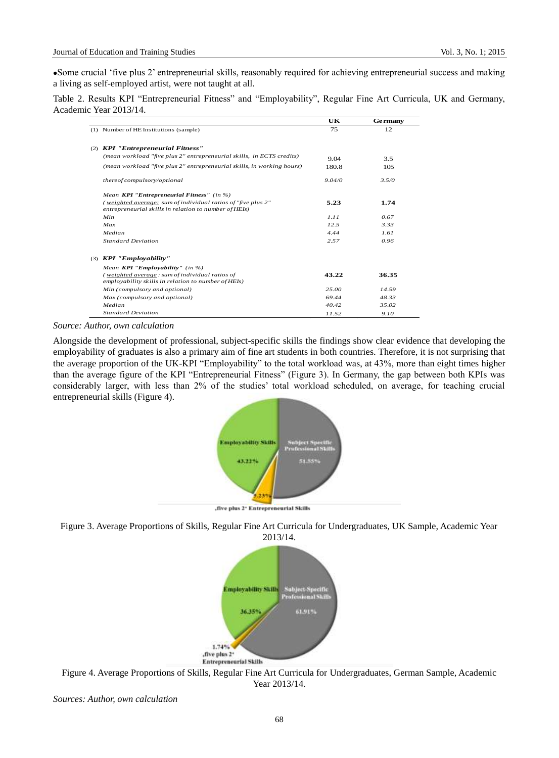Some crucial 'five plus 2' entrepreneurial skills, reasonably required for achieving entrepreneurial success and making a living as self-employed artist, were not taught at all.

Table 2. Results KPI "Entrepreneurial Fitness" and "Employability", Regular Fine Art Curricula, UK and Germany, Academic Year 2013/14.

|  |                                                                                                                       | UK     | Germany |
|--|-----------------------------------------------------------------------------------------------------------------------|--------|---------|
|  | (1) Number of HE Institutions (sample)                                                                                | 75     | 12      |
|  |                                                                                                                       |        |         |
|  | (2) KPI "Entrepreneurial Fitness"                                                                                     |        |         |
|  | (mean workload "five plus 2" entrepreneurial skills, in ECTS credits)                                                 | 9.04   | 3.5     |
|  | (mean workload "five plus 2" entrepreneurial skills, in working hours)                                                | 180.8  | 105     |
|  | thereof compulsory/optional                                                                                           | 9.04/0 | 3.5/0   |
|  | Mean KPI "Entrepreneurial Fitness" (in %)                                                                             |        |         |
|  | (weighted average: sum of individual ratios of "five plus 2"<br>entrepreneurial skills in relation to number of HEIs) | 5.23   | 1.74    |
|  | Min                                                                                                                   | 1.11   | 0.67    |
|  | Max                                                                                                                   | 12.5   | 3.33    |
|  | Median                                                                                                                | 4.44   | 1.61    |
|  | <b>Standard Deviation</b>                                                                                             | 2.57   | 0.96    |
|  | $(3)$ KPI "Employability"                                                                                             |        |         |
|  | Mean <b>KPI</b> " <b>Employability</b> " (in %)                                                                       |        |         |
|  | (weighted average: sum of individual ratios of                                                                        | 43.22  | 36.35   |
|  | employability skills in relation to number of HEIs)                                                                   |        |         |
|  | Min (compulsory and optional)                                                                                         | 25.00  | 14.59   |
|  | Max (compulsory and optional)                                                                                         | 69.44  | 48.33   |
|  | Median                                                                                                                | 40.42  | 35.02   |
|  | <b>Standard Deviation</b>                                                                                             | 11.52  | 9.10    |

*Source: Author, own calculation*

Alongside the development of professional, subject-specific skills the findings show clear evidence that developing the employability of graduates is also a primary aim of fine art students in both countries. Therefore, it is not surprising that the average proportion of the UK-KPI "Employability" to the total workload was, at 43%, more than eight times higher than the average figure of the KPI "Entrepreneurial Fitness" (Figure 3). In Germany, the gap between both KPIs was considerably larger, with less than 2% of the studies' total workload scheduled, on average, for teaching crucial entrepreneurial skills (Figure 4).



, five plus 2<sup>+</sup> Entrepreneurial Skills





Figure 4. Average Proportions of Skills, Regular Fine Art Curricula for Undergraduates, German Sample, Academic Year 2013/14.

*Sources: Author, own calculation*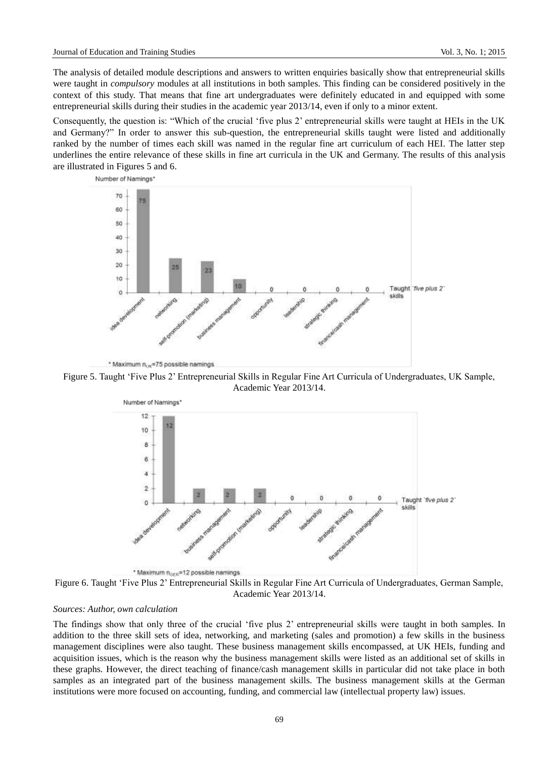The analysis of detailed module descriptions and answers to written enquiries basically show that entrepreneurial skills were taught in *compulsory* modules at all institutions in both samples. This finding can be considered positively in the context of this study. That means that fine art undergraduates were definitely educated in and equipped with some entrepreneurial skills during their studies in the academic year 2013/14, even if only to a minor extent.

Consequently, the question is: "Which of the crucial 'five plus 2' entrepreneurial skills were taught at HEIs in the UK and Germany?" In order to answer this sub-question, the entrepreneurial skills taught were listed and additionally ranked by the number of times each skill was named in the regular fine art curriculum of each HEI. The latter step underlines the entire relevance of these skills in fine art curricula in the UK and Germany. The results of this analysis are illustrated in Figures 5 and 6.



\* Maximum n<sub>ox</sub>=75 possible namings





Figure 6. Taught 'Five Plus 2' Entrepreneurial Skills in Regular Fine Art Curricula of Undergraduates, German Sample, Academic Year 2013/14.

# *Sources: Author, own calculation*

The findings show that only three of the crucial 'five plus 2' entrepreneurial skills were taught in both samples. In addition to the three skill sets of idea, networking, and marketing (sales and promotion) a few skills in the business management disciplines were also taught. These business management skills encompassed, at UK HEIs, funding and acquisition issues, which is the reason why the business management skills were listed as an additional set of skills in these graphs. However, the direct teaching of finance/cash management skills in particular did not take place in both samples as an integrated part of the business management skills. The business management skills at the German institutions were more focused on accounting, funding, and commercial law (intellectual property law) issues.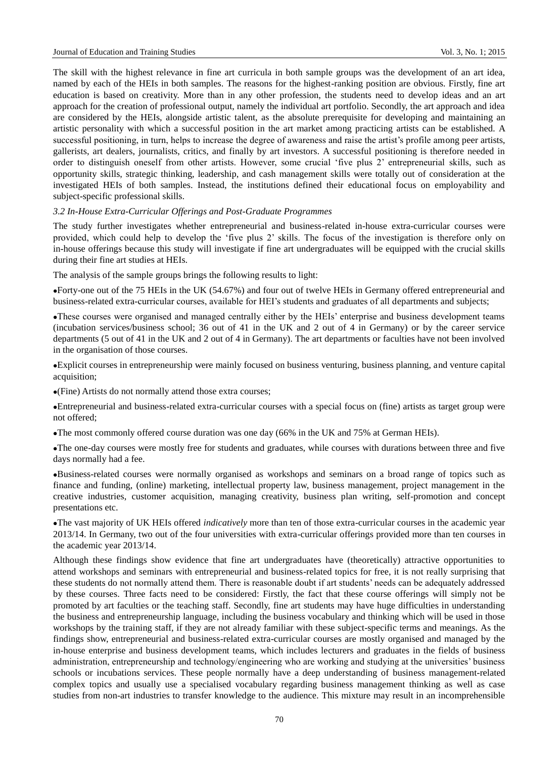The skill with the highest relevance in fine art curricula in both sample groups was the development of an art idea, named by each of the HEIs in both samples. The reasons for the highest-ranking position are obvious. Firstly, fine art education is based on creativity. More than in any other profession, the students need to develop ideas and an art approach for the creation of professional output, namely the individual art portfolio. Secondly, the art approach and idea are considered by the HEIs, alongside artistic talent, as the absolute prerequisite for developing and maintaining an artistic personality with which a successful position in the art market among practicing artists can be established. A successful positioning, in turn, helps to increase the degree of awareness and raise the artist's profile among peer artists, gallerists, art dealers, journalists, critics, and finally by art investors. A successful positioning is therefore needed in order to distinguish oneself from other artists. However, some crucial 'five plus 2' entrepreneurial skills, such as opportunity skills, strategic thinking, leadership, and cash management skills were totally out of consideration at the investigated HEIs of both samples. Instead, the institutions defined their educational focus on employability and subject-specific professional skills.

## *3.2 In-House Extra-Curricular Offerings and Post-Graduate Programmes*

The study further investigates whether entrepreneurial and business-related in-house extra-curricular courses were provided, which could help to develop the 'five plus 2' skills. The focus of the investigation is therefore only on in-house offerings because this study will investigate if fine art undergraduates will be equipped with the crucial skills during their fine art studies at HEIs.

The analysis of the sample groups brings the following results to light:

Forty-one out of the 75 HEIs in the UK (54.67%) and four out of twelve HEIs in Germany offered entrepreneurial and business-related extra-curricular courses, available for HEI's students and graduates of all departments and subjects;

These courses were organised and managed centrally either by the HEIs' enterprise and business development teams (incubation services/business school; 36 out of 41 in the UK and 2 out of 4 in Germany) or by the career service departments (5 out of 41 in the UK and 2 out of 4 in Germany). The art departments or faculties have not been involved in the organisation of those courses.

Explicit courses in entrepreneurship were mainly focused on business venturing, business planning, and venture capital acquisition;

(Fine) Artists do not normally attend those extra courses;

Entrepreneurial and business-related extra-curricular courses with a special focus on (fine) artists as target group were not offered;

The most commonly offered course duration was one day (66% in the UK and 75% at German HEIs).

The one-day courses were mostly free for students and graduates, while courses with durations between three and five days normally had a fee.

Business-related courses were normally organised as workshops and seminars on a broad range of topics such as finance and funding, (online) marketing, intellectual property law, business management, project management in the creative industries, customer acquisition, managing creativity, business plan writing, self-promotion and concept presentations etc.

The vast majority of UK HEIs offered *indicatively* more than ten of those extra-curricular courses in the academic year 2013/14. In Germany, two out of the four universities with extra-curricular offerings provided more than ten courses in the academic year 2013/14.

Although these findings show evidence that fine art undergraduates have (theoretically) attractive opportunities to attend workshops and seminars with entrepreneurial and business-related topics for free, it is not really surprising that these students do not normally attend them. There is reasonable doubt if art students' needs can be adequately addressed by these courses. Three facts need to be considered: Firstly, the fact that these course offerings will simply not be promoted by art faculties or the teaching staff. Secondly, fine art students may have huge difficulties in understanding the business and entrepreneurship language, including the business vocabulary and thinking which will be used in those workshops by the training staff, if they are not already familiar with these subject-specific terms and meanings. As the findings show, entrepreneurial and business-related extra-curricular courses are mostly organised and managed by the in-house enterprise and business development teams, which includes lecturers and graduates in the fields of business administration, entrepreneurship and technology/engineering who are working and studying at the universities' business schools or incubations services. These people normally have a deep understanding of business management-related complex topics and usually use a specialised vocabulary regarding business management thinking as well as case studies from non-art industries to transfer knowledge to the audience. This mixture may result in an incomprehensible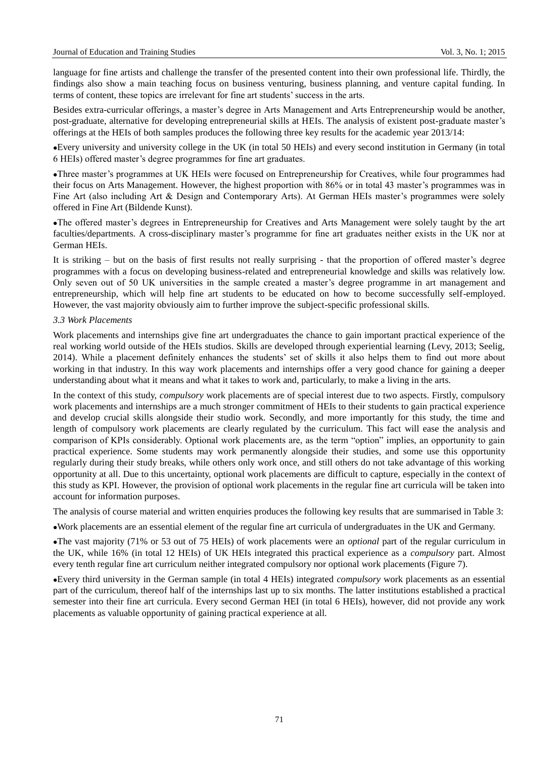language for fine artists and challenge the transfer of the presented content into their own professional life. Thirdly, the findings also show a main teaching focus on business venturing, business planning, and venture capital funding. In terms of content, these topics are irrelevant for fine art students' success in the arts.

Besides extra-curricular offerings, a master's degree in Arts Management and Arts Entrepreneurship would be another, post-graduate, alternative for developing entrepreneurial skills at HEIs. The analysis of existent post-graduate master's offerings at the HEIs of both samples produces the following three key results for the academic year 2013/14:

Every university and university college in the UK (in total 50 HEIs) and every second institution in Germany (in total 6 HEIs) offered master's degree programmes for fine art graduates.

Three master's programmes at UK HEIs were focused on Entrepreneurship for Creatives, while four programmes had their focus on Arts Management. However, the highest proportion with 86% or in total 43 master's programmes was in Fine Art (also including Art & Design and Contemporary Arts). At German HEIs master's programmes were solely offered in Fine Art (Bildende Kunst).

The offered master's degrees in Entrepreneurship for Creatives and Arts Management were solely taught by the art faculties/departments. A cross-disciplinary master's programme for fine art graduates neither exists in the UK nor at German HEIs.

It is striking – but on the basis of first results not really surprising - that the proportion of offered master's degree programmes with a focus on developing business-related and entrepreneurial knowledge and skills was relatively low. Only seven out of 50 UK universities in the sample created a master's degree programme in art management and entrepreneurship, which will help fine art students to be educated on how to become successfully self-employed. However, the vast majority obviously aim to further improve the subject-specific professional skills.

## *3.3 Work Placements*

Work placements and internships give fine art undergraduates the chance to gain important practical experience of the real working world outside of the HEIs studios. Skills are developed through experiential learning (Levy, 2013; Seelig, 2014). While a placement definitely enhances the students' set of skills it also helps them to find out more about working in that industry. In this way work placements and internships offer a very good chance for gaining a deeper understanding about what it means and what it takes to work and, particularly, to make a living in the arts.

In the context of this study, *compulsory* work placements are of special interest due to two aspects. Firstly, compulsory work placements and internships are a much stronger commitment of HEIs to their students to gain practical experience and develop crucial skills alongside their studio work. Secondly, and more importantly for this study, the time and length of compulsory work placements are clearly regulated by the curriculum. This fact will ease the analysis and comparison of KPIs considerably. Optional work placements are, as the term "option" implies, an opportunity to gain practical experience. Some students may work permanently alongside their studies, and some use this opportunity regularly during their study breaks, while others only work once, and still others do not take advantage of this working opportunity at all. Due to this uncertainty, optional work placements are difficult to capture, especially in the context of this study as KPI. However, the provision of optional work placements in the regular fine art curricula will be taken into account for information purposes.

The analysis of course material and written enquiries produces the following key results that are summarised in Table 3:

Work placements are an essential element of the regular fine art curricula of undergraduates in the UK and Germany.

The vast majority (71% or 53 out of 75 HEIs) of work placements were an *optional* part of the regular curriculum in the UK, while 16% (in total 12 HEIs) of UK HEIs integrated this practical experience as a *compulsory* part. Almost every tenth regular fine art curriculum neither integrated compulsory nor optional work placements (Figure 7).

Every third university in the German sample (in total 4 HEIs) integrated *compulsory* work placements as an essential part of the curriculum, thereof half of the internships last up to six months. The latter institutions established a practical semester into their fine art curricula. Every second German HEI (in total 6 HEIs), however, did not provide any work placements as valuable opportunity of gaining practical experience at all.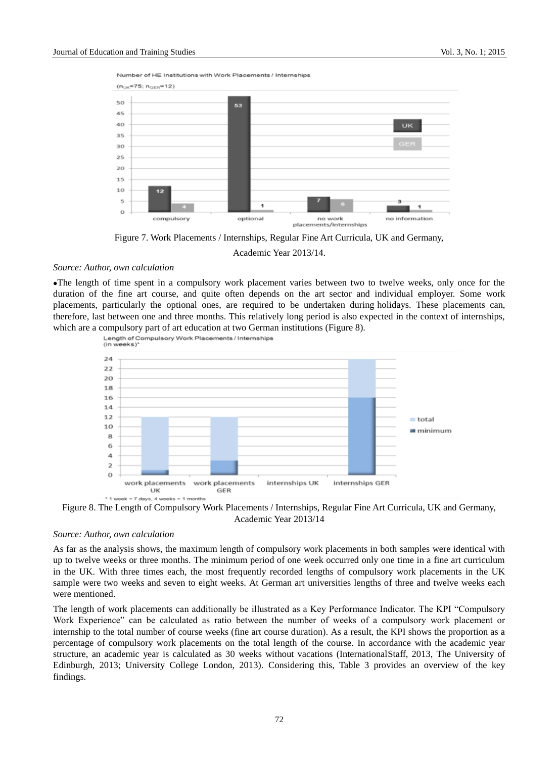Number of HE Institutions with Work Placements / Internships



Figure 7. Work Placements / Internships, Regular Fine Art Curricula, UK and Germany,

Academic Year 2013/14.

#### *Source: Author, own calculation*

The length of time spent in a compulsory work placement varies between two to twelve weeks, only once for the duration of the fine art course, and quite often depends on the art sector and individual employer. Some work placements, particularly the optional ones, are required to be undertaken during holidays. These placements can, therefore, last between one and three months. This relatively long period is also expected in the context of internships, which are a compulsory part of art education at two German institutions (Figure 8).



Figure 8. The Length of Compulsory Work Placements / Internships, Regular Fine Art Curricula, UK and Germany, Academic Year 2013/14

## *Source: Author, own calculation*

As far as the analysis shows, the maximum length of compulsory work placements in both samples were identical with up to twelve weeks or three months. The minimum period of one week occurred only one time in a fine art curriculum in the UK. With three times each, the most frequently recorded lengths of compulsory work placements in the UK sample were two weeks and seven to eight weeks. At German art universities lengths of three and twelve weeks each were mentioned.

The length of work placements can additionally be illustrated as a Key Performance Indicator. The KPI "Compulsory Work Experience" can be calculated as ratio between the number of weeks of a compulsory work placement or internship to the total number of course weeks (fine art course duration). As a result, the KPI shows the proportion as a percentage of compulsory work placements on the total length of the course. In accordance with the academic year structure, an academic year is calculated as 30 weeks without vacations (InternationalStaff, 2013, The University of Edinburgh, 2013; University College London, 2013). Considering this, Table 3 provides an overview of the key findings.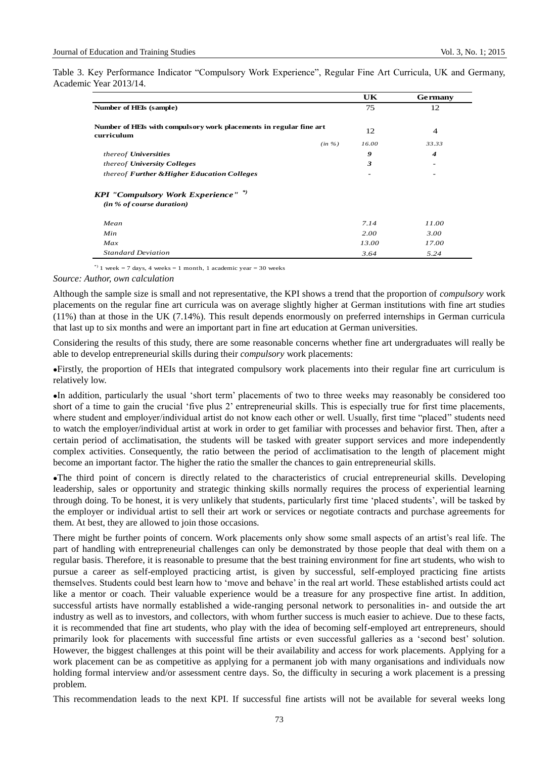Table 3. Key Performance Indicator "Compulsory Work Experience", Regular Fine Art Curricula, UK and Germany, Academic Year 2013/14.

|                                                                                     | UK    | <b>Germany</b> |
|-------------------------------------------------------------------------------------|-------|----------------|
| Number of HEIs (sample)                                                             | 75    | 12             |
| Number of HEIs with compulsory work placements in regular fine art<br>curriculum    | 12    | $\overline{4}$ |
| (in %)                                                                              | 16.00 | 33.33          |
| thereof <b>Universities</b>                                                         | 9     | 4              |
| thereof University Colleges                                                         | 3     |                |
| thereof Further & Higher Education Colleges                                         |       |                |
| <b>KPI</b> "Compulsory Work Experience" <sup>*</sup> )<br>(in % of course duration) |       |                |
| Mean                                                                                | 7.14  | 11.00          |
| Min                                                                                 | 2.00  | 3.00           |
| Max                                                                                 | 13.00 | 17.00          |
| <b>Standard Deviation</b>                                                           | 3.64  | 5.24           |

\*) 1 week = 7 days, 4 weeks = 1 month, 1 academic year = 30 weeks

*Source: Author, own calculation*

Although the sample size is small and not representative, the KPI shows a trend that the proportion of *compulsory* work placements on the regular fine art curricula was on average slightly higher at German institutions with fine art studies (11%) than at those in the UK (7.14%). This result depends enormously on preferred internships in German curricula that last up to six months and were an important part in fine art education at German universities.

Considering the results of this study, there are some reasonable concerns whether fine art undergraduates will really be able to develop entrepreneurial skills during their *compulsory* work placements:

Firstly, the proportion of HEIs that integrated compulsory work placements into their regular fine art curriculum is relatively low.

In addition, particularly the usual 'short term' placements of two to three weeks may reasonably be considered too short of a time to gain the crucial 'five plus 2' entrepreneurial skills. This is especially true for first time placements, where student and employer/individual artist do not know each other or well. Usually, first time "placed" students need to watch the employer/individual artist at work in order to get familiar with processes and behavior first. Then, after a certain period of acclimatisation, the students will be tasked with greater support services and more independently complex activities. Consequently, the ratio between the period of acclimatisation to the length of placement might become an important factor. The higher the ratio the smaller the chances to gain entrepreneurial skills.

The third point of concern is directly related to the characteristics of crucial entrepreneurial skills. Developing leadership, sales or opportunity and strategic thinking skills normally requires the process of experiential learning through doing. To be honest, it is very unlikely that students, particularly first time 'placed students', will be tasked by the employer or individual artist to sell their art work or services or negotiate contracts and purchase agreements for them. At best, they are allowed to join those occasions.

There might be further points of concern. Work placements only show some small aspects of an artist's real life. The part of handling with entrepreneurial challenges can only be demonstrated by those people that deal with them on a regular basis. Therefore, it is reasonable to presume that the best training environment for fine art students, who wish to pursue a career as self-employed practicing artist, is given by successful, self-employed practicing fine artists themselves. Students could best learn how to 'move and behave' in the real art world. These established artists could act like a mentor or coach. Their valuable experience would be a treasure for any prospective fine artist. In addition, successful artists have normally established a wide-ranging personal network to personalities in- and outside the art industry as well as to investors, and collectors, with whom further success is much easier to achieve. Due to these facts, it is recommended that fine art students, who play with the idea of becoming self-employed art entrepreneurs, should primarily look for placements with successful fine artists or even successful galleries as a 'second best' solution. However, the biggest challenges at this point will be their availability and access for work placements. Applying for a work placement can be as competitive as applying for a permanent job with many organisations and individuals now holding formal interview and/or assessment centre days. So, the difficulty in securing a work placement is a pressing problem.

This recommendation leads to the next KPI. If successful fine artists will not be available for several weeks long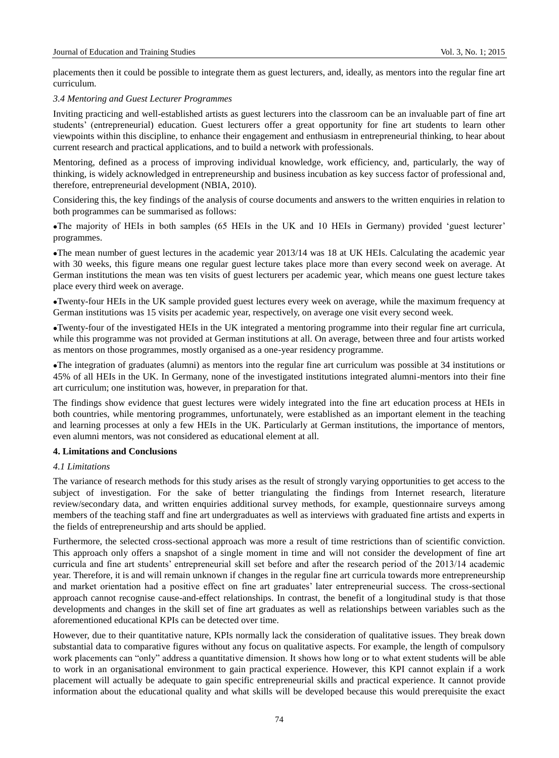placements then it could be possible to integrate them as guest lecturers, and, ideally, as mentors into the regular fine art curriculum.

## *3.4 Mentoring and Guest Lecturer Programmes*

Inviting practicing and well-established artists as guest lecturers into the classroom can be an invaluable part of fine art students' (entrepreneurial) education. Guest lecturers offer a great opportunity for fine art students to learn other viewpoints within this discipline, to enhance their engagement and enthusiasm in entrepreneurial thinking, to hear about current research and practical applications, and to build a network with professionals.

Mentoring, defined as a process of improving individual knowledge, work efficiency, and, particularly, the way of thinking, is widely acknowledged in entrepreneurship and business incubation as key success factor of professional and, therefore, entrepreneurial development (NBIA, 2010).

Considering this, the key findings of the analysis of course documents and answers to the written enquiries in relation to both programmes can be summarised as follows:

The majority of HEIs in both samples (65 HEIs in the UK and 10 HEIs in Germany) provided 'guest lecturer' programmes.

The mean number of guest lectures in the academic year 2013/14 was 18 at UK HEIs. Calculating the academic year with 30 weeks, this figure means one regular guest lecture takes place more than every second week on average. At German institutions the mean was ten visits of guest lecturers per academic year, which means one guest lecture takes place every third week on average.

Twenty-four HEIs in the UK sample provided guest lectures every week on average, while the maximum frequency at German institutions was 15 visits per academic year, respectively, on average one visit every second week.

Twenty-four of the investigated HEIs in the UK integrated a mentoring programme into their regular fine art curricula, while this programme was not provided at German institutions at all. On average, between three and four artists worked as mentors on those programmes, mostly organised as a one-year residency programme.

The integration of graduates (alumni) as mentors into the regular fine art curriculum was possible at 34 institutions or 45% of all HEIs in the UK. In Germany, none of the investigated institutions integrated alumni-mentors into their fine art curriculum; one institution was, however, in preparation for that.

The findings show evidence that guest lectures were widely integrated into the fine art education process at HEIs in both countries, while mentoring programmes, unfortunately, were established as an important element in the teaching and learning processes at only a few HEIs in the UK. Particularly at German institutions, the importance of mentors, even alumni mentors, was not considered as educational element at all.

#### **4. Limitations and Conclusions**

#### *4.1 Limitations*

The variance of research methods for this study arises as the result of strongly varying opportunities to get access to the subject of investigation. For the sake of better triangulating the findings from Internet research, literature review/secondary data, and written enquiries additional survey methods, for example, questionnaire surveys among members of the teaching staff and fine art undergraduates as well as interviews with graduated fine artists and experts in the fields of entrepreneurship and arts should be applied.

Furthermore, the selected cross-sectional approach was more a result of time restrictions than of scientific conviction. This approach only offers a snapshot of a single moment in time and will not consider the development of fine art curricula and fine art students' entrepreneurial skill set before and after the research period of the 2013/14 academic year. Therefore, it is and will remain unknown if changes in the regular fine art curricula towards more entrepreneurship and market orientation had a positive effect on fine art graduates' later entrepreneurial success. The cross-sectional approach cannot recognise cause-and-effect relationships. In contrast, the benefit of a longitudinal study is that those developments and changes in the skill set of fine art graduates as well as relationships between variables such as the aforementioned educational KPIs can be detected over time.

However, due to their quantitative nature, KPIs normally lack the consideration of qualitative issues. They break down substantial data to comparative figures without any focus on qualitative aspects. For example, the length of compulsory work placements can "only" address a quantitative dimension. It shows how long or to what extent students will be able to work in an organisational environment to gain practical experience. However, this KPI cannot explain if a work placement will actually be adequate to gain specific entrepreneurial skills and practical experience. It cannot provide information about the educational quality and what skills will be developed because this would prerequisite the exact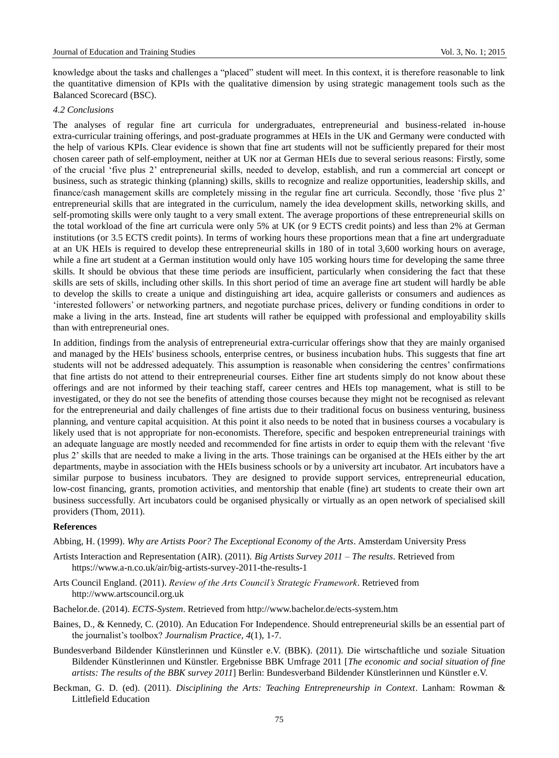knowledge about the tasks and challenges a "placed" student will meet. In this context, it is therefore reasonable to link the quantitative dimension of KPIs with the qualitative dimension by using strategic management tools such as the Balanced Scorecard (BSC).

## *4.2 Conclusions*

The analyses of regular fine art curricula for undergraduates, entrepreneurial and business-related in-house extra-curricular training offerings, and post-graduate programmes at HEIs in the UK and Germany were conducted with the help of various KPIs. Clear evidence is shown that fine art students will not be sufficiently prepared for their most chosen career path of self-employment, neither at UK nor at German HEIs due to several serious reasons: Firstly, some of the crucial 'five plus 2' entrepreneurial skills, needed to develop, establish, and run a commercial art concept or business, such as strategic thinking (planning) skills, skills to recognize and realize opportunities, leadership skills, and finance/cash management skills are completely missing in the regular fine art curricula. Secondly, those 'five plus 2' entrepreneurial skills that are integrated in the curriculum, namely the idea development skills, networking skills, and self-promoting skills were only taught to a very small extent. The average proportions of these entrepreneurial skills on the total workload of the fine art curricula were only 5% at UK (or 9 ECTS credit points) and less than 2% at German institutions (or 3.5 ECTS credit points). In terms of working hours these proportions mean that a fine art undergraduate at an UK HEIs is required to develop these entrepreneurial skills in 180 of in total 3,600 working hours on average, while a fine art student at a German institution would only have 105 working hours time for developing the same three skills. It should be obvious that these time periods are insufficient, particularly when considering the fact that these skills are sets of skills, including other skills. In this short period of time an average fine art student will hardly be able to develop the skills to create a unique and distinguishing art idea, acquire gallerists or consumers and audiences as 'interested followers' or networking partners, and negotiate purchase prices, delivery or funding conditions in order to make a living in the arts. Instead, fine art students will rather be equipped with professional and employability skills than with entrepreneurial ones.

In addition, findings from the analysis of entrepreneurial extra-curricular offerings show that they are mainly organised and managed by the HEIs' business schools, enterprise centres, or business incubation hubs. This suggests that fine art students will not be addressed adequately. This assumption is reasonable when considering the centres' confirmations that fine artists do not attend to their entrepreneurial courses. Either fine art students simply do not know about these offerings and are not informed by their teaching staff, career centres and HEIs top management, what is still to be investigated, or they do not see the benefits of attending those courses because they might not be recognised as relevant for the entrepreneurial and daily challenges of fine artists due to their traditional focus on business venturing, business planning, and venture capital acquisition. At this point it also needs to be noted that in business courses a vocabulary is likely used that is not appropriate for non-economists. Therefore, specific and bespoken entrepreneurial trainings with an adequate language are mostly needed and recommended for fine artists in order to equip them with the relevant 'five plus 2' skills that are needed to make a living in the arts. Those trainings can be organised at the HEIs either by the art departments, maybe in association with the HEIs business schools or by a university art incubator. Art incubators have a similar purpose to business incubators. They are designed to provide support services, entrepreneurial education, low-cost financing, grants, promotion activities, and mentorship that enable (fine) art students to create their own art business successfully. Art incubators could be organised physically or virtually as an open network of specialised skill providers (Thom, 2011).

#### **References**

Abbing, H. (1999). *Why are Artists Poor? The Exceptional Economy of the Arts*. Amsterdam University Press

- Artists Interaction and Representation (AIR). (2011). *Big Artists Survey 2011 – The results*. Retrieved from https://www.a-n.co.uk/air/big-artists-survey-2011-the-results-1
- Arts Council England. (2011). *Review of the Arts Council's Strategic Framework*. Retrieved from http://www.artscouncil.org.uk
- Bachelor.de. (2014). *ECTS-System*. Retrieved from http://www.bachelor.de/ects-system.htm
- Baines, D., & Kennedy, C. (2010). An Education For Independence. Should entrepreneurial skills be an essential part of the journalist's toolbox? *Journalism Practice, 4*(1), 1-7.
- Bundesverband Bildender Künstlerinnen und Künstler e.V. (BBK). (2011). Die wirtschaftliche und soziale Situation Bildender Künstlerinnen und Künstler. Ergebnisse BBK Umfrage 2011 [*The economic and social situation of fine artists: The results of the BBK survey 2011*] Berlin: Bundesverband Bildender Künstlerinnen und Künstler e.V.
- Beckman, G. D. (ed). (2011). *Disciplining the Arts: Teaching Entrepreneurship in Context*. Lanham: Rowman & Littlefield Education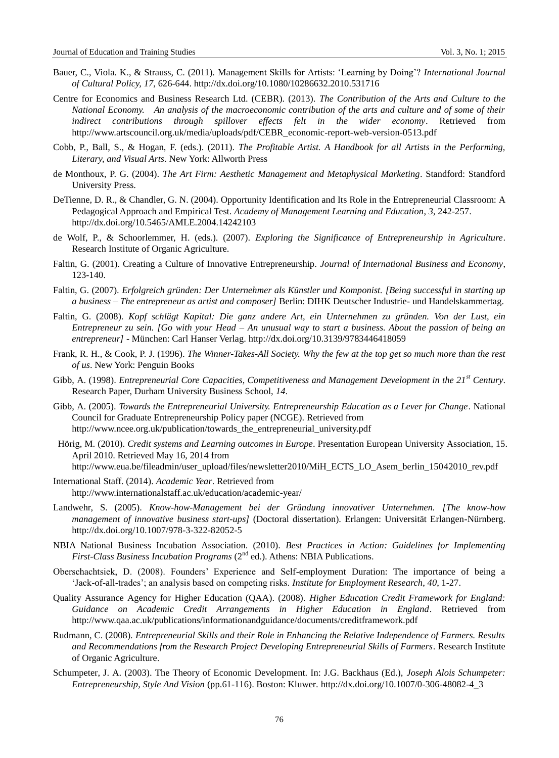- Bauer, C., Viola. K., & Strauss, C. (2011). Management Skills for Artists: 'Learning by Doing'? *International Journal of Cultural Policy, 17*, 626-644. http://dx.doi.org/10.1080/10286632.2010.531716
- Centre for Economics and Business Research Ltd. (CEBR). (2013). *The Contribution of the Arts and Culture to the National Economy. An analysis of the macroeconomic contribution of the arts and culture and of some of their indirect contributions through spillover effects felt in the wider economy*. Retrieved from http://www.artscouncil.org.uk/media/uploads/pdf/CEBR\_economic-report-web-version-0513.pdf
- Cobb, P., Ball, S., & Hogan, F. (eds.). (2011). *The Profitable Artist. A Handbook for all Artists in the Performing, Literary, and Visual Arts*. New York: Allworth Press
- de Monthoux, P. G. (2004). *The Art Firm: Aesthetic Management and Metaphysical Marketing*. Standford: Standford University Press.
- DeTienne, D. R., & Chandler, G. N. (2004). Opportunity Identification and Its Role in the Entrepreneurial Classroom: A Pedagogical Approach and Empirical Test. *Academy of Management Learning and Education*, *3*, 242-257. http://dx.doi.org/10.5465/AMLE.2004.14242103
- de Wolf, P., & Schoorlemmer, H. (eds.). (2007). *Exploring the Significance of Entrepreneurship in Agriculture*. Research Institute of Organic Agriculture.
- Faltin, G. (2001). Creating a Culture of Innovative Entrepreneurship. *Journal of International Business and Economy*, 123-140.
- Faltin, G. (2007). *Erfolgreich gründen: Der Unternehmer als Künstler und Komponist. [Being successful in starting up a business – The entrepreneur as artist and composer]* Berlin: DIHK Deutscher Industrie- und Handelskammertag.
- Faltin, G. (2008). *Kopf schlägt Kapital: Die ganz andere Art, ein Unternehmen zu gründen. Von der Lust, ein Entrepreneur zu sein. [Go with your Head – An unusual way to start a business. About the passion of being an entrepreneur]* - München: Carl Hanser Verlag. http://dx.doi.org/10.3139/9783446418059
- Frank, R. H., & Cook, P. J. (1996). *The Winner-Takes-All Society. Why the few at the top get so much more than the rest of us*. New York: Penguin Books
- Gibb, A. (1998). *Entrepreneurial Core Capacities, Competitiveness and Management Development in the 21st Century*. Research Paper, Durham University Business School, *14*.
- Gibb, A. (2005). *Towards the Entrepreneurial University. Entrepreneurship Education as a Lever for Change*. National Council for Graduate Entrepreneurship Policy paper (NCGE). Retrieved from http://www.ncee.org.uk/publication/towards\_the\_entrepreneurial\_university.pdf
- Hörig, M. (2010). *Credit systems and Learning outcomes in Europe*. Presentation European University Association, 15. April 2010. Retrieved May 16, 2014 from http://www.eua.be/fileadmin/user\_upload/files/newsletter2010/MiH\_ECTS\_LO\_Asem\_berlin\_15042010\_rev.pdf
- International Staff. (2014). *Academic Year*. Retrieved from http://www.internationalstaff.ac.uk/education/academic-year/
- Landwehr, S. (2005). *Know-how-Management bei der Gründung innovativer Unternehmen. [The know-how management of innovative business start-ups]* (Doctoral dissertation). Erlangen: Universität Erlangen-Nürnberg. http://dx.doi.org/10.1007/978-3-322-82052-5
- NBIA National Business Incubation Association. (2010). *Best Practices in Action: Guidelines for Implementing First-Class Business Incubation Programs* (2<sup>nd</sup> ed.). Athens: NBIA Publications.
- Oberschachtsiek, D. (2008). Founders' Experience and Self-employment Duration: The importance of being a 'Jack-of-all-trades'; an analysis based on competing risks. *Institute for Employment Research*, *40*, 1-27.
- Quality Assurance Agency for Higher Education (QAA). (2008). *Higher Education Credit Framework for England: Guidance on Academic Credit Arrangements in Higher Education in England*. Retrieved from http://www.qaa.ac.uk/publications/informationandguidance/documents/creditframework.pdf
- Rudmann, C. (2008). *Entrepreneurial Skills and their Role in Enhancing the Relative Independence of Farmers. Results and Recommendations from the Research Project Developing Entrepreneurial Skills of Farmers*. Research Institute of Organic Agriculture.
- Schumpeter, J. A. (2003). The Theory of Economic Development. In: J.G. Backhaus (Ed.), *Joseph Alois Schumpeter: Entrepreneurship, Style And Vision* (pp.61-116). Boston: Kluwer. http://dx.doi.org/10.1007/0-306-48082-4\_3